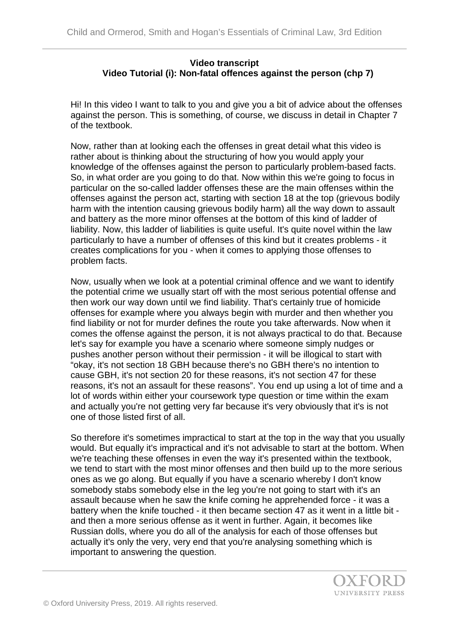## **Video transcript Video Tutorial (i): Non-fatal offences against the person (chp 7)**

Hi! In this video I want to talk to you and give you a bit of advice about the offenses against the person. This is something, of course, we discuss in detail in Chapter 7 of the textbook.

Now, rather than at looking each the offenses in great detail what this video is rather about is thinking about the structuring of how you would apply your knowledge of the offenses against the person to particularly problem-based facts. So, in what order are you going to do that. Now within this we're going to focus in particular on the so-called ladder offenses these are the main offenses within the offenses against the person act, starting with section 18 at the top (grievous bodily harm with the intention causing grievous bodily harm) all the way down to assault and battery as the more minor offenses at the bottom of this kind of ladder of liability. Now, this ladder of liabilities is quite useful. It's quite novel within the law particularly to have a number of offenses of this kind but it creates problems - it creates complications for you - when it comes to applying those offenses to problem facts.

Now, usually when we look at a potential criminal offence and we want to identify the potential crime we usually start off with the most serious potential offense and then work our way down until we find liability. That's certainly true of homicide offenses for example where you always begin with murder and then whether you find liability or not for murder defines the route you take afterwards. Now when it comes the offense against the person, it is not always practical to do that. Because let's say for example you have a scenario where someone simply nudges or pushes another person without their permission - it will be illogical to start with "okay, it's not section 18 GBH because there's no GBH there's no intention to cause GBH, it's not section 20 for these reasons, it's not section 47 for these reasons, it's not an assault for these reasons". You end up using a lot of time and a lot of words within either your coursework type question or time within the exam and actually you're not getting very far because it's very obviously that it's is not one of those listed first of all.

So therefore it's sometimes impractical to start at the top in the way that you usually would. But equally it's impractical and it's not advisable to start at the bottom. When we're teaching these offenses in even the way it's presented within the textbook, we tend to start with the most minor offenses and then build up to the more serious ones as we go along. But equally if you have a scenario whereby I don't know somebody stabs somebody else in the leg you're not going to start with it's an assault because when he saw the knife coming he apprehended force - it was a battery when the knife touched - it then became section 47 as it went in a little bit and then a more serious offense as it went in further. Again, it becomes like Russian dolls, where you do all of the analysis for each of those offenses but actually it's only the very, very end that you're analysing something which is important to answering the question.

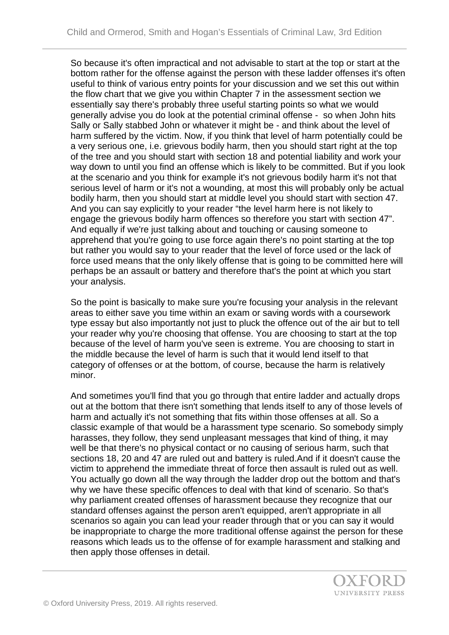So because it's often impractical and not advisable to start at the top or start at the bottom rather for the offense against the person with these ladder offenses it's often useful to think of various entry points for your discussion and we set this out within the flow chart that we give you within Chapter 7 in the assessment section we essentially say there's probably three useful starting points so what we would generally advise you do look at the potential criminal offense - so when John hits Sally or Sally stabbed John or whatever it might be - and think about the level of harm suffered by the victim. Now, if you think that level of harm potentially could be a very serious one, i.e. grievous bodily harm, then you should start right at the top of the tree and you should start with section 18 and potential liability and work your way down to until you find an offense which is likely to be committed. But if you look at the scenario and you think for example it's not grievous bodily harm it's not that serious level of harm or it's not a wounding, at most this will probably only be actual bodily harm, then you should start at middle level you should start with section 47. And you can say explicitly to your reader "the level harm here is not likely to engage the grievous bodily harm offences so therefore you start with section 47". And equally if we're just talking about and touching or causing someone to apprehend that you're going to use force again there's no point starting at the top but rather you would say to your reader that the level of force used or the lack of force used means that the only likely offense that is going to be committed here will perhaps be an assault or battery and therefore that's the point at which you start your analysis.

So the point is basically to make sure you're focusing your analysis in the relevant areas to either save you time within an exam or saving words with a coursework type essay but also importantly not just to pluck the offence out of the air but to tell your reader why you're choosing that offense. You are choosing to start at the top because of the level of harm you've seen is extreme. You are choosing to start in the middle because the level of harm is such that it would lend itself to that category of offenses or at the bottom, of course, because the harm is relatively minor.

And sometimes you'll find that you go through that entire ladder and actually drops out at the bottom that there isn't something that lends itself to any of those levels of harm and actually it's not something that fits within those offenses at all. So a classic example of that would be a harassment type scenario. So somebody simply harasses, they follow, they send unpleasant messages that kind of thing, it may well be that there's no physical contact or no causing of serious harm, such that sections 18, 20 and 47 are ruled out and battery is ruled.And if it doesn't cause the victim to apprehend the immediate threat of force then assault is ruled out as well. You actually go down all the way through the ladder drop out the bottom and that's why we have these specific offences to deal with that kind of scenario. So that's why parliament created offenses of harassment because they recognize that our standard offenses against the person aren't equipped, aren't appropriate in all scenarios so again you can lead your reader through that or you can say it would be inappropriate to charge the more traditional offense against the person for these reasons which leads us to the offense of for example harassment and stalking and then apply those offenses in detail.